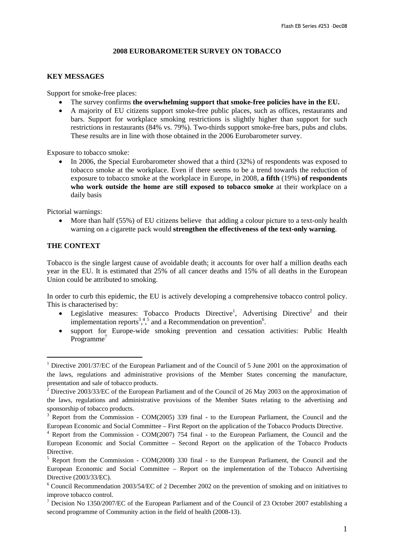### **2008 EUROBAROMETER SURVEY ON TOBACCO**

#### **KEY MESSAGES**

Support for smoke-free places:

- The survey confirms **the overwhelming support that smoke-free policies have in the EU.**
- A majority of EU citizens support smoke-free public places, such as offices, restaurants and bars. Support for workplace smoking restrictions is slightly higher than support for such restrictions in restaurants (84% vs. 79%). Two-thirds support smoke-free bars, pubs and clubs. These results are in line with those obtained in the 2006 Eurobarometer survey.

Exposure to tobacco smoke:

• In 2006, the Special Eurobarometer showed that a third (32%) of respondents was exposed to tobacco smoke at the workplace. Even if there seems to be a trend towards the reduction of exposure to tobacco smoke at the workplace in Europe, in 2008, **a fifth** (19%) **of respondents who work outside the home are still exposed to tobacco smoke** at their workplace on a daily basis

Pictorial warnings:

• More than half (55%) of EU citizens believe that adding a colour picture to a text-only health warning on a cigarette pack would **strengthen the effectiveness of the text-only warning**.

## **THE CONTEXT**

 $\overline{a}$ 

Tobacco is the single largest cause of avoidable death; it accounts for over half a million deaths each year in the EU. It is estimated that 25% of all cancer deaths and 15% of all deaths in the European Union could be attributed to smoking.

In order to curb this epidemic, the EU is actively developing a comprehensive tobacco control policy. This is characterised by:

- Legislative measures: Tobacco Products Directive<sup>1</sup>, Advertising Directive<sup>2</sup> and their implementation reports<sup>3,4,5</sup> and a Recommendation on prevention<sup>6</sup>.
- support for Europe-wide smoking prevention and cessation activities: Public Health Programme<sup>7</sup>

<sup>&</sup>lt;sup>1</sup> Directive 2001/37/EC of the European Parliament and of the Council of 5 June 2001 on the approximation of the laws, regulations and administrative provisions of the Member States concerning the manufacture, presentation and sale of tobacco products.

<sup>&</sup>lt;sup>2</sup> Directive 2003/33/EC of the European Parliament and of the Council of 26 May 2003 on the approximation of the laws, regulations and administrative provisions of the Member States relating to the advertising and sponsorship of tobacco products.

<sup>&</sup>lt;sup>3</sup> Report from the Commission - COM(2005) 339 final - to the European Parliament, the Council and the European Economic and Social Committee – First Report on the application of the Tobacco Products Directive.

<sup>4</sup> Report from the Commission - COM(2007) 754 final - to the European Parliament, the Council and the European Economic and Social Committee – Second Report on the application of the Tobacco Products Directive.

<sup>&</sup>lt;sup>5</sup> Report from the Commission - COM(2008) 330 final - to the European Parliament, the Council and the European Economic and Social Committee – Report on the implementation of the Tobacco Advertising Directive (2003/33/EC). 6

<sup>&</sup>lt;sup>6</sup> Council Recommendation 2003/54/EC of 2 December 2002 on the prevention of smoking and on initiatives to improve tobacco control.

<sup>&</sup>lt;sup>7</sup> Decision No 1350/2007/EC of the European Parliament and of the Council of 23 October 2007 establishing a second programme of Community action in the field of health (2008-13).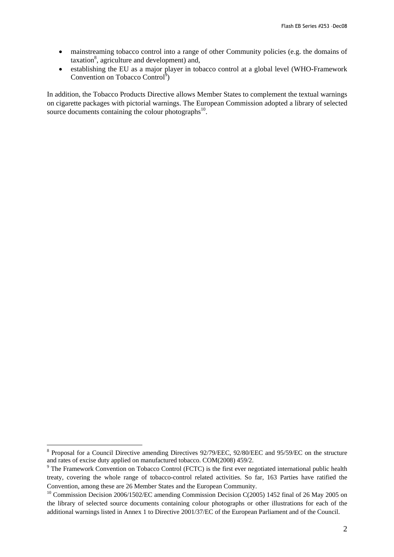- mainstreaming tobacco control into a range of other Community policies (e.g. the domains of  $taxation<sup>8</sup>$ , agriculture and development) and,
- establishing the EU as a major player in tobacco control at a global level (WHO-Framework Convention on Tobacco Control<sup>9</sup>)

In addition, the Tobacco Products Directive allows Member States to complement the textual warnings on cigarette packages with pictorial warnings. The European Commission adopted a library of selected source documents containing the colour photographs<sup>10</sup>.

 $\overline{a}$ 

<sup>&</sup>lt;sup>8</sup> Proposal for a Council Directive amending Directives 92/79/EEC, 92/80/EEC and 95/59/EC on the structure and rates of excise duty applied on manufactured tobacco. COM(2008) 459/2.

<sup>&</sup>lt;sup>9</sup> The Framework Convention on Tobacco Control (FCTC) is the first ever negotiated international public health treaty, covering the whole range of tobacco-control related activities. So far, 163 Parties have ratified the Convention, among these are 26 Member States and the European Community.

<sup>&</sup>lt;sup>10</sup> Commission Decision 2006/1502/EC amending Commission Decision C(2005) 1452 final of 26 May 2005 on the library of selected source documents containing colour photographs or other illustrations for each of the additional warnings listed in Annex 1 to Directive 2001/37/EC of the European Parliament and of the Council.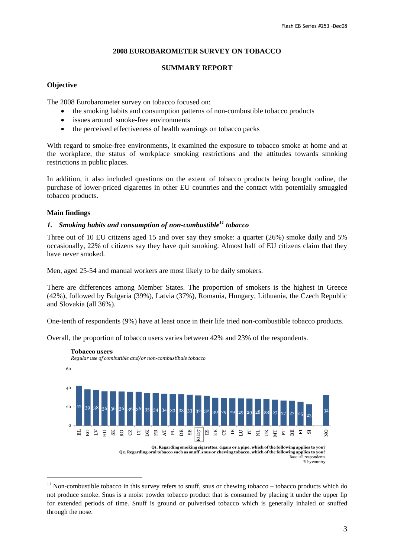# **2008 EUROBAROMETER SURVEY ON TOBACCO**

## **SUMMARY REPORT**

## **Objective**

The 2008 Eurobarometer survey on tobacco focused on:

- the smoking habits and consumption patterns of non-combustible tobacco products
- issues around smoke-free environments
- the perceived effectiveness of health warnings on tobacco packs

With regard to smoke-free environments, it examined the exposure to tobacco smoke at home and at the workplace, the status of workplace smoking restrictions and the attitudes towards smoking restrictions in public places.

In addition, it also included questions on the extent of tobacco products being bought online, the purchase of lower-priced cigarettes in other EU countries and the contact with potentially smuggled tobacco products.

# **Main findings**

 $\overline{a}$ 

# *1. Smoking habits and consumption of non-combustible11 tobacco*

Three out of 10 EU citizens aged 15 and over say they smoke: a quarter (26%) smoke daily and 5% occasionally, 22% of citizens say they have quit smoking. Almost half of EU citizens claim that they have never smoked.

Men, aged 25-54 and manual workers are most likely to be daily smokers.

There are differences among Member States. The proportion of smokers is the highest in Greece (42%), followed by Bulgaria (39%), Latvia (37%), Romania, Hungary, Lithuania, the Czech Republic and Slovakia (all 36%).

One-tenth of respondents (9%) have at least once in their life tried non-combustible tobacco products.

Overall, the proportion of tobacco users varies between 42% and 23% of the respondents.



**Q2. Regarding oral tobacco such as snuff, snus or chewing tobacco, which of the following applies to you?** Base: all respondents % by country

 $11$  Non-combustible tobacco in this survey refers to snuff, snus or chewing tobacco – tobacco products which do not produce smoke. Snus is a moist powder tobacco product that is consumed by placing it under the upper lip for extended periods of time. Snuff is ground or pulverised tobacco which is generally inhaled or snuffed through the nose.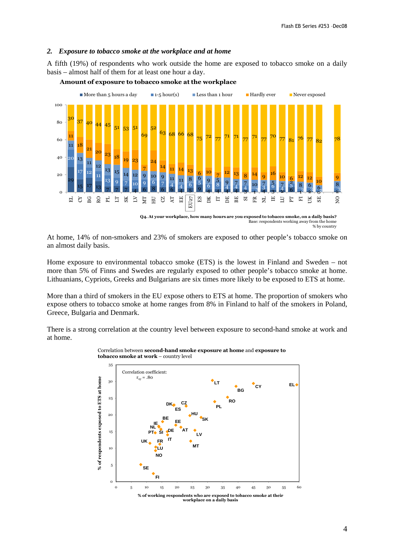#### *2. Exposure to tobacco smoke at the workplace and at home*

A fifth (19%) of respondents who work outside the home are exposed to tobacco smoke on a daily basis – almost half of them for at least one hour a day.



## **Amount of exposure to tobacco smoke at the workplace**

At home, 14% of non-smokers and 23% of smokers are exposed to other people's tobacco smoke on an almost daily basis.

Home exposure to environmental tobacco smoke (ETS) is the lowest in Finland and Sweden – not more than 5% of Finns and Swedes are regularly exposed to other people's tobacco smoke at home. Lithuanians, Cypriots, Greeks and Bulgarians are six times more likely to be exposed to ETS at home.

More than a third of smokers in the EU expose others to ETS at home. The proportion of smokers who expose others to tobacco smoke at home ranges from 8% in Finland to half of the smokers in Poland, Greece, Bulgaria and Denmark.

There is a strong correlation at the country level between exposure to second-hand smoke at work and at home.



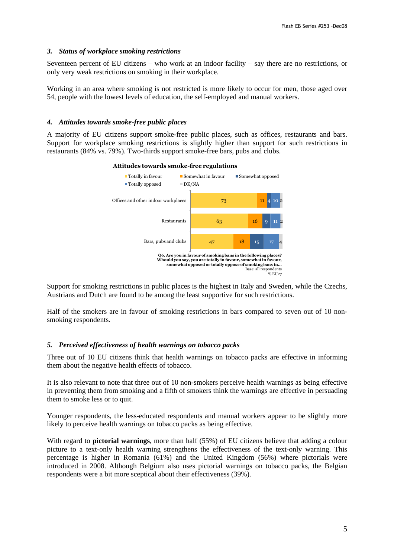## *3. Status of workplace smoking restrictions*

Seventeen percent of EU citizens – who work at an indoor facility – say there are no restrictions, or only very weak restrictions on smoking in their workplace.

Working in an area where smoking is not restricted is more likely to occur for men, those aged over 54, people with the lowest levels of education, the self-employed and manual workers.

### *4. Attitudes towards smoke-free public places*

A majority of EU citizens support smoke-free public places, such as offices, restaurants and bars. Support for workplace smoking restrictions is slightly higher than support for such restrictions in restaurants (84% vs. 79%). Two-thirds support smoke-free bars, pubs and clubs.



**Attitudes towards smoke-free regulations**

Support for smoking restrictions in public places is the highest in Italy and Sweden, while the Czechs, Austrians and Dutch are found to be among the least supportive for such restrictions.

Half of the smokers are in favour of smoking restrictions in bars compared to seven out of 10 nonsmoking respondents.

#### *5. Perceived effectiveness of health warnings on tobacco packs*

Three out of 10 EU citizens think that health warnings on tobacco packs are effective in informing them about the negative health effects of tobacco.

It is also relevant to note that three out of 10 non-smokers perceive health warnings as being effective in preventing them from smoking and a fifth of smokers think the warnings are effective in persuading them to smoke less or to quit.

Younger respondents, the less-educated respondents and manual workers appear to be slightly more likely to perceive health warnings on tobacco packs as being effective.

With regard to **pictorial warnings**, more than half (55%) of EU citizens believe that adding a colour picture to a text-only health warning strengthens the effectiveness of the text-only warning. This percentage is higher in Romania (61%) and the United Kingdom (56%) where pictorials were introduced in 2008. Although Belgium also uses pictorial warnings on tobacco packs, the Belgian respondents were a bit more sceptical about their effectiveness (39%).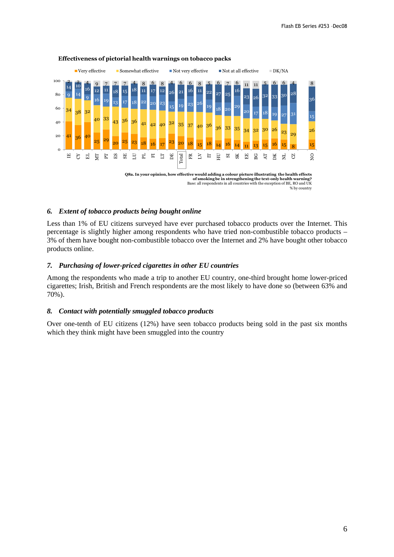

#### **Effectiveness of pictorial health warnings on tobacco packs**

#### *6. Extent of tobacco products being bought online*

Less than 1% of EU citizens surveyed have ever purchased tobacco products over the Internet. This percentage is slightly higher among respondents who have tried non-combustible tobacco products – 3% of them have bought non-combustible tobacco over the Internet and 2% have bought other tobacco products online.

### *7. Purchasing of lower-priced cigarettes in other EU countries*

Among the respondents who made a trip to another EU country, one-third brought home lower-priced cigarettes; Irish, British and French respondents are the most likely to have done so (between 63% and 70%).

#### *8. Contact with potentially smuggled tobacco products*

Over one-tenth of EU citizens (12%) have seen tobacco products being sold in the past six months which they think might have been smuggled into the country